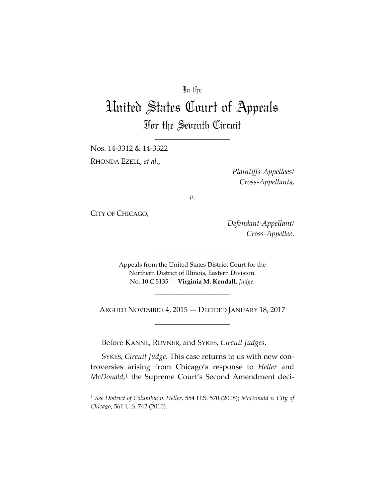## In the

# United States Court of Appeals For the Seventh Circuit

\_\_\_\_\_\_\_\_\_\_\_\_\_\_\_\_\_\_\_\_

Nos. 14-3312 & 14-3322 RHONDA EZELL, *et al.*,

> *Plaintiffs-Appellees/ Cross-Appellants*,

*v.*

CITY OF CHICAGO,

*Defendant-Appellant/ Cross-Appellee*.

Appeals from the United States District Court for the Northern District of Illinois, Eastern Division. No. 10 C 5135 — **Virginia M. Kendall**, *Judge*.

\_\_\_\_\_\_\_\_\_\_\_\_\_\_\_\_\_\_\_\_

ARGUED NOVEMBER 4, 2015 — DECIDED JANUARY 18, 2017 \_\_\_\_\_\_\_\_\_\_\_\_\_\_\_\_\_\_\_\_

\_\_\_\_\_\_\_\_\_\_\_\_\_\_\_\_\_\_\_\_

Before KANNE, ROVNER, and SYKES, *Circuit Judges*.

SYKES, *Circuit Judge*. This case returns to us with new controversies arising from Chicago's response to *Heller* and *McDonald*,<sup>[1](#page-0-0)</sup> the Supreme Court's Second Amendment deci-

<span id="page-0-0"></span> <sup>1</sup> *See District of Columbia v. Heller*, 554 U.S. 570 (2008); *McDonald v. City of Chicago*, 561 U.S. 742 (2010).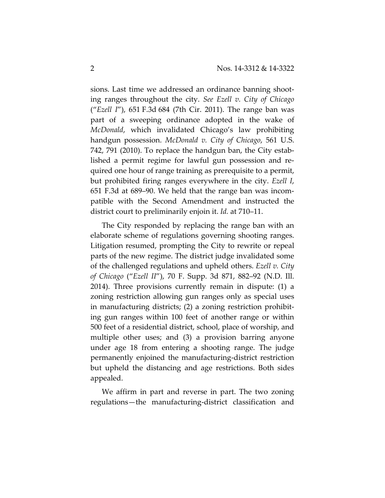sions. Last time we addressed an ordinance banning shooting ranges throughout the city. *See Ezell v. City of Chicago* ("*Ezell I*"), 651 F.3d 684 (7th Cir. 2011). The range ban was part of a sweeping ordinance adopted in the wake of *McDonald*, which invalidated Chicago's law prohibiting handgun possession. *McDonald v. City of Chicago*, 561 U.S. 742, 791 (2010). To replace the handgun ban, the City established a permit regime for lawful gun possession and required one hour of range training as prerequisite to a permit, but prohibited firing ranges everywhere in the city. *Ezell I*, 651 F.3d at 689–90. We held that the range ban was incompatible with the Second Amendment and instructed the district court to preliminarily enjoin it. *Id.* at 710–11.

The City responded by replacing the range ban with an elaborate scheme of regulations governing shooting ranges. Litigation resumed, prompting the City to rewrite or repeal parts of the new regime. The district judge invalidated some of the challenged regulations and upheld others. *Ezell v. City of Chicago* ("*Ezell II*"), 70 F. Supp. 3d 871, 882–92 (N.D. Ill. 2014). Three provisions currently remain in dispute: (1) a zoning restriction allowing gun ranges only as special uses in manufacturing districts; (2) a zoning restriction prohibiting gun ranges within 100 feet of another range or within 500 feet of a residential district, school, place of worship, and multiple other uses; and (3) a provision barring anyone under age 18 from entering a shooting range. The judge permanently enjoined the manufacturing-district restriction but upheld the distancing and age restrictions. Both sides appealed.

We affirm in part and reverse in part. The two zoning regulations—the manufacturing-district classification and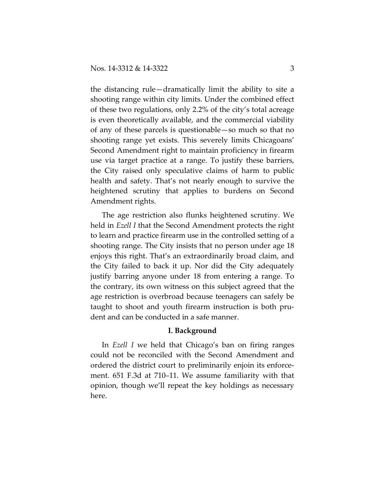the distancing rule—dramatically limit the ability to site a shooting range within city limits. Under the combined effect of these two regulations, only 2.2% of the city's total acreage is even theoretically available, and the commercial viability of any of these parcels is questionable—so much so that no shooting range yet exists. This severely limits Chicagoans' Second Amendment right to maintain proficiency in firearm use via target practice at a range. To justify these barriers, the City raised only speculative claims of harm to public health and safety. That's not nearly enough to survive the heightened scrutiny that applies to burdens on Second Amendment rights.

The age restriction also flunks heightened scrutiny. We held in *Ezell I* that the Second Amendment protects the right to learn and practice firearm use in the controlled setting of a shooting range. The City insists that no person under age 18 enjoys this right. That's an extraordinarily broad claim, and the City failed to back it up. Nor did the City adequately justify barring anyone under 18 from entering a range. To the contrary, its own witness on this subject agreed that the age restriction is overbroad because teenagers can safely be taught to shoot and youth firearm instruction is both prudent and can be conducted in a safe manner.

### **I. Background**

In *Ezell I* we held that Chicago's ban on firing ranges could not be reconciled with the Second Amendment and ordered the district court to preliminarily enjoin its enforcement. 651 F.3d at 710–11. We assume familiarity with that opinion, though we'll repeat the key holdings as necessary here.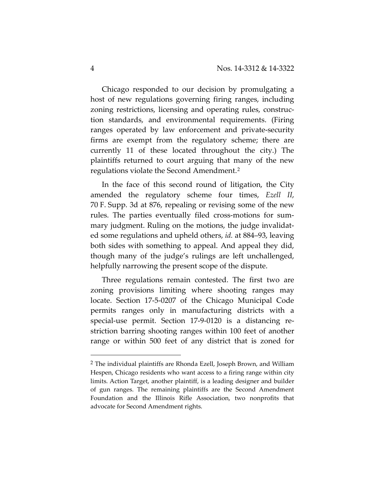Chicago responded to our decision by promulgating a host of new regulations governing firing ranges, including zoning restrictions, licensing and operating rules, construction standards, and environmental requirements. (Firing ranges operated by law enforcement and private-security firms are exempt from the regulatory scheme; there are currently 11 of these located throughout the city.) The plaintiffs returned to court arguing that many of the new regulations violate the Second Amendment.[2](#page-3-0)

In the face of this second round of litigation, the City amended the regulatory scheme four times, *Ezell II*, 70 F. Supp. 3d at 876, repealing or revising some of the new rules. The parties eventually filed cross-motions for summary judgment. Ruling on the motions, the judge invalidated some regulations and upheld others, *id.* at 884–93, leaving both sides with something to appeal. And appeal they did, though many of the judge's rulings are left unchallenged, helpfully narrowing the present scope of the dispute.

Three regulations remain contested. The first two are zoning provisions limiting where shooting ranges may locate. Section 17-5-0207 of the Chicago Municipal Code permits ranges only in manufacturing districts with a special-use permit. Section 17-9-0120 is a distancing restriction barring shooting ranges within 100 feet of another range or within 500 feet of any district that is zoned for

<span id="page-3-0"></span> <sup>2</sup> The individual plaintiffs are Rhonda Ezell, Joseph Brown, and William Hespen, Chicago residents who want access to a firing range within city limits. Action Target, another plaintiff, is a leading designer and builder of gun ranges. The remaining plaintiffs are the Second Amendment Foundation and the Illinois Rifle Association, two nonprofits that advocate for Second Amendment rights.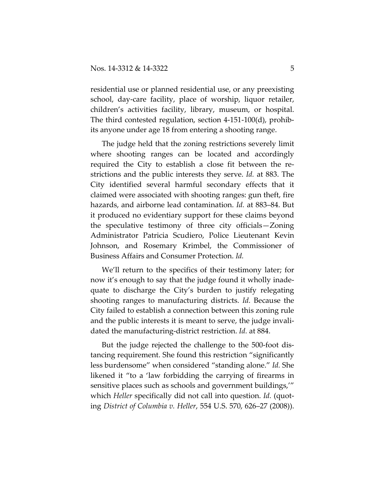residential use or planned residential use, or any preexisting school, day-care facility, place of worship, liquor retailer, children's activities facility, library, museum, or hospital. The third contested regulation, section 4-151-100(d), prohibits anyone under age 18 from entering a shooting range.

The judge held that the zoning restrictions severely limit where shooting ranges can be located and accordingly required the City to establish a close fit between the restrictions and the public interests they serve. *Id.* at 883. The City identified several harmful secondary effects that it claimed were associated with shooting ranges: gun theft, fire hazards, and airborne lead contamination. *Id.* at 883–84. But it produced no evidentiary support for these claims beyond the speculative testimony of three city officials—Zoning Administrator Patricia Scudiero, Police Lieutenant Kevin Johnson, and Rosemary Krimbel, the Commissioner of Business Affairs and Consumer Protection. *Id.*

We'll return to the specifics of their testimony later; for now it's enough to say that the judge found it wholly inadequate to discharge the City's burden to justify relegating shooting ranges to manufacturing districts. *Id.* Because the City failed to establish a connection between this zoning rule and the public interests it is meant to serve, the judge invalidated the manufacturing-district restriction. *Id.* at 884.

But the judge rejected the challenge to the 500-foot distancing requirement. She found this restriction "significantly less burdensome" when considered "standing alone." *Id.* She likened it "to a 'law forbidding the carrying of firearms in sensitive places such as schools and government buildings,'" which *Heller* specifically did not call into question. *Id.* (quoting *District of Columbia v. Heller*, 554 U.S. 570, 626–27 (2008)).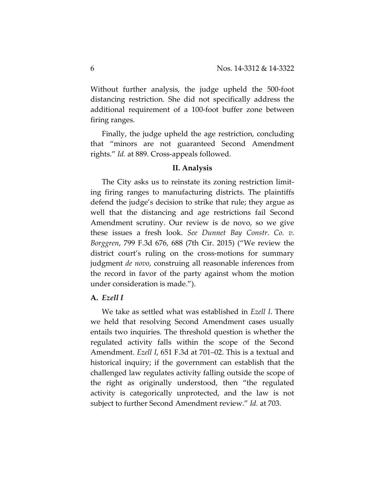Without further analysis, the judge upheld the 500-foot distancing restriction. She did not specifically address the additional requirement of a 100-foot buffer zone between firing ranges.

Finally, the judge upheld the age restriction, concluding that "minors are not guaranteed Second Amendment rights." *Id.* at 889. Cross-appeals followed.

## **II. Analysis**

The City asks us to reinstate its zoning restriction limiting firing ranges to manufacturing districts. The plaintiffs defend the judge's decision to strike that rule; they argue as well that the distancing and age restrictions fail Second Amendment scrutiny. Our review is de novo, so we give these issues a fresh look. *See Dunnet Bay Constr. Co. v. Borggren*, 799 F.3d 676, 688 (7th Cir. 2015) ("We review the district court's ruling on the cross-motions for summary judgment *de novo*, construing all reasonable inferences from the record in favor of the party against whom the motion under consideration is made.").

## **A.** *Ezell I*

We take as settled what was established in *Ezell I*. There we held that resolving Second Amendment cases usually entails two inquiries. The threshold question is whether the regulated activity falls within the scope of the Second Amendment. *Ezell I*, 651 F.3d at 701–02. This is a textual and historical inquiry; if the government can establish that the challenged law regulates activity falling outside the scope of the right as originally understood, then "the regulated activity is categorically unprotected, and the law is not subject to further Second Amendment review." *Id.* at 703.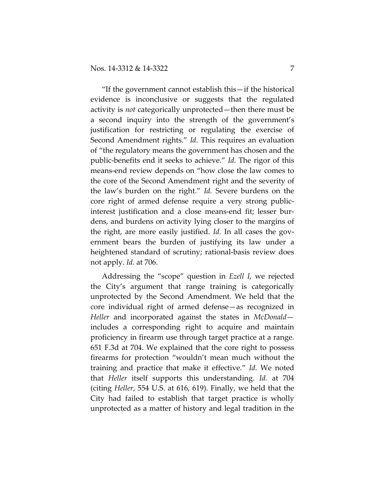"If the government cannot establish this—if the historical evidence is inconclusive or suggests that the regulated activity is *not* categorically unprotected—then there must be a second inquiry into the strength of the government's justification for restricting or regulating the exercise of Second Amendment rights." *Id.* This requires an evaluation of "the regulatory means the government has chosen and the public-benefits end it seeks to achieve." *Id.* The rigor of this means-end review depends on "how close the law comes to the core of the Second Amendment right and the severity of the law's burden on the right." *Id.* Severe burdens on the core right of armed defense require a very strong publicinterest justification and a close means-end fit; lesser burdens, and burdens on activity lying closer to the margins of the right, are more easily justified. *Id.* In all cases the government bears the burden of justifying its law under a heightened standard of scrutiny; rational-basis review does not apply. *Id.* at 706.

Addressing the "scope" question in *Ezell I*, we rejected the City's argument that range training is categorically unprotected by the Second Amendment. We held that the core individual right of armed defense—as recognized in *Heller* and incorporated against the states in *McDonald* includes a corresponding right to acquire and maintain proficiency in firearm use through target practice at a range. 651 F.3d at 704. We explained that the core right to possess firearms for protection "wouldn't mean much without the training and practice that make it effective." *Id.* We noted that *Heller* itself supports this understanding. *Id.* at 704 (citing *Heller*, 554 U.S. at 616, 619). Finally, we held that the City had failed to establish that target practice is wholly unprotected as a matter of history and legal tradition in the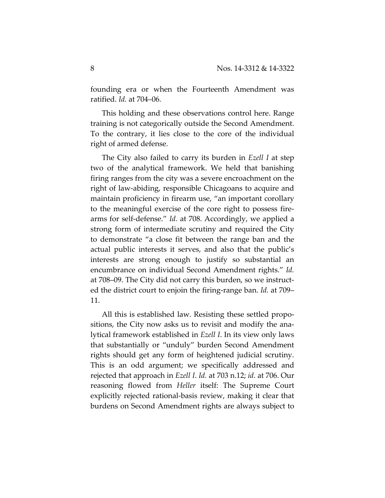founding era or when the Fourteenth Amendment was ratified. *Id.* at 704–06.

This holding and these observations control here. Range training is not categorically outside the Second Amendment. To the contrary, it lies close to the core of the individual right of armed defense.

The City also failed to carry its burden in *Ezell I* at step two of the analytical framework. We held that banishing firing ranges from the city was a severe encroachment on the right of law-abiding, responsible Chicagoans to acquire and maintain proficiency in firearm use, "an important corollary to the meaningful exercise of the core right to possess firearms for self-defense." *Id.* at 708. Accordingly, we applied a strong form of intermediate scrutiny and required the City to demonstrate "a close fit between the range ban and the actual public interests it serves, and also that the public's interests are strong enough to justify so substantial an encumbrance on individual Second Amendment rights." *Id.* at 708–09. The City did not carry this burden, so we instructed the district court to enjoin the firing-range ban. *Id.* at 709– 11.

All this is established law. Resisting these settled propositions, the City now asks us to revisit and modify the analytical framework established in *Ezell I*. In its view only laws that substantially or "unduly" burden Second Amendment rights should get any form of heightened judicial scrutiny. This is an odd argument; we specifically addressed and rejected that approach in *Ezell I*. *Id.* at 703 n.12; *id.* at 706. Our reasoning flowed from *Heller* itself: The Supreme Court explicitly rejected rational-basis review, making it clear that burdens on Second Amendment rights are always subject to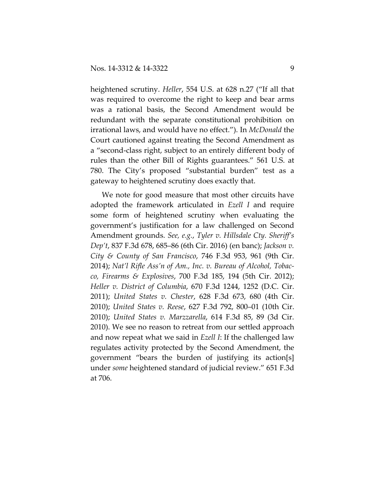heightened scrutiny. *Heller*, 554 U.S. at 628 n.27 ("If all that was required to overcome the right to keep and bear arms was a rational basis, the Second Amendment would be redundant with the separate constitutional prohibition on irrational laws, and would have no effect."). In *McDonald* the Court cautioned against treating the Second Amendment as a "second-class right, subject to an entirely different body of rules than the other Bill of Rights guarantees." 561 U.S. at 780. The City's proposed "substantial burden" test as a gateway to heightened scrutiny does exactly that.

We note for good measure that most other circuits have adopted the framework articulated in *Ezell I* and require some form of heightened scrutiny when evaluating the government's justification for a law challenged on Second Amendment grounds. *See, e.g.*, *Tyler v. Hillsdale Cty. Sheriff's Dep't*, 837 F.3d 678, 685–86 (6th Cir. 2016) (en banc); *Jackson v. City & County of San Francisco*, 746 F.3d 953, 961 (9th Cir. 2014); *Nat'l Rifle Ass'n of Am., Inc. v. Bureau of Alcohol, Tobacco, Firearms & Explosives*, 700 F.3d 185, 194 (5th Cir. 2012); *Heller v. District of Columbia*, 670 F.3d 1244, 1252 (D.C. Cir. 2011); *United States v. Chester*, 628 F.3d 673, 680 (4th Cir. 2010); *United States v. Reese*, 627 F.3d 792, 800–01 (10th Cir. 2010); *United States v. Marzzarella*, 614 F.3d 85, 89 (3d Cir. 2010). We see no reason to retreat from our settled approach and now repeat what we said in *Ezell I*: If the challenged law regulates activity protected by the Second Amendment, the government "bears the burden of justifying its action[s] under *some* heightened standard of judicial review." 651 F.3d at 706.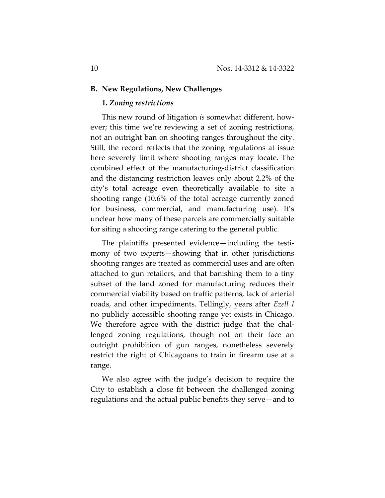#### **B. New Regulations, New Challenges**

### **1.** *Zoning restrictions*

This new round of litigation *is* somewhat different, however; this time we're reviewing a set of zoning restrictions, not an outright ban on shooting ranges throughout the city. Still, the record reflects that the zoning regulations at issue here severely limit where shooting ranges may locate. The combined effect of the manufacturing-district classification and the distancing restriction leaves only about 2.2% of the city's total acreage even theoretically available to site a shooting range (10.6% of the total acreage currently zoned for business, commercial, and manufacturing use). It's unclear how many of these parcels are commercially suitable for siting a shooting range catering to the general public.

The plaintiffs presented evidence—including the testimony of two experts—showing that in other jurisdictions shooting ranges are treated as commercial uses and are often attached to gun retailers, and that banishing them to a tiny subset of the land zoned for manufacturing reduces their commercial viability based on traffic patterns, lack of arterial roads, and other impediments. Tellingly, years after *Ezell I*  no publicly accessible shooting range yet exists in Chicago. We therefore agree with the district judge that the challenged zoning regulations, though not on their face an outright prohibition of gun ranges, nonetheless severely restrict the right of Chicagoans to train in firearm use at a range.

We also agree with the judge's decision to require the City to establish a close fit between the challenged zoning regulations and the actual public benefits they serve—and to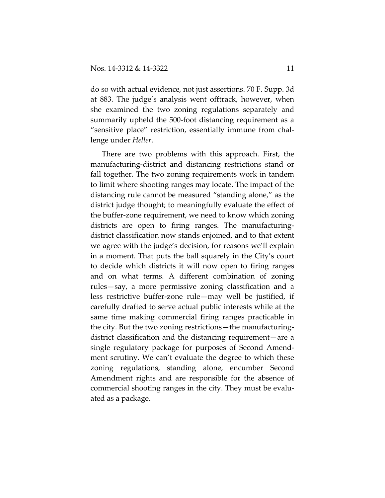do so with actual evidence, not just assertions. 70 F. Supp. 3d at 883. The judge's analysis went offtrack, however, when she examined the two zoning regulations separately and summarily upheld the 500-foot distancing requirement as a "sensitive place" restriction, essentially immune from challenge under *Heller*.

There are two problems with this approach. First, the manufacturing-district and distancing restrictions stand or fall together. The two zoning requirements work in tandem to limit where shooting ranges may locate. The impact of the distancing rule cannot be measured "standing alone," as the district judge thought; to meaningfully evaluate the effect of the buffer-zone requirement, we need to know which zoning districts are open to firing ranges. The manufacturingdistrict classification now stands enjoined, and to that extent we agree with the judge's decision, for reasons we'll explain in a moment. That puts the ball squarely in the City's court to decide which districts it will now open to firing ranges and on what terms. A different combination of zoning rules—say, a more permissive zoning classification and a less restrictive buffer-zone rule—may well be justified, if carefully drafted to serve actual public interests while at the same time making commercial firing ranges practicable in the city. But the two zoning restrictions—the manufacturingdistrict classification and the distancing requirement—are a single regulatory package for purposes of Second Amendment scrutiny. We can't evaluate the degree to which these zoning regulations, standing alone, encumber Second Amendment rights and are responsible for the absence of commercial shooting ranges in the city. They must be evaluated as a package.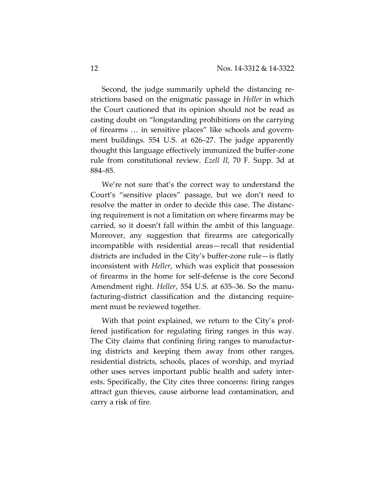Second, the judge summarily upheld the distancing restrictions based on the enigmatic passage in *Heller* in which the Court cautioned that its opinion should not be read as casting doubt on "longstanding prohibitions on the carrying of firearms … in sensitive places" like schools and government buildings. 554 U.S. at 626–27. The judge apparently thought this language effectively immunized the buffer-zone rule from constitutional review. *Ezell II*, 70 F. Supp. 3d at 884–85.

We're not sure that's the correct way to understand the Court's "sensitive places" passage, but we don't need to resolve the matter in order to decide this case. The distancing requirement is not a limitation on where firearms may be carried, so it doesn't fall within the ambit of this language. Moreover, any suggestion that firearms are categorically incompatible with residential areas—recall that residential districts are included in the City's buffer-zone rule—is flatly inconsistent with *Heller*, which was explicit that possession of firearms in the home for self-defense is the core Second Amendment right. *Heller*, 554 U.S. at 635–36. So the manufacturing-district classification and the distancing requirement must be reviewed together.

With that point explained, we return to the City's proffered justification for regulating firing ranges in this way. The City claims that confining firing ranges to manufacturing districts and keeping them away from other ranges, residential districts, schools, places of worship, and myriad other uses serves important public health and safety interests. Specifically, the City cites three concerns: firing ranges attract gun thieves, cause airborne lead contamination, and carry a risk of fire.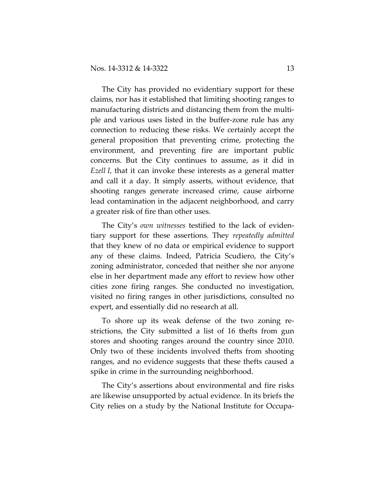The City has provided no evidentiary support for these claims, nor has it established that limiting shooting ranges to manufacturing districts and distancing them from the multiple and various uses listed in the buffer-zone rule has any connection to reducing these risks. We certainly accept the general proposition that preventing crime, protecting the environment, and preventing fire are important public concerns. But the City continues to assume, as it did in *Ezell I*, that it can invoke these interests as a general matter and call it a day. It simply asserts, without evidence, that shooting ranges generate increased crime, cause airborne lead contamination in the adjacent neighborhood, and carry a greater risk of fire than other uses.

The City's *own witnesses* testified to the lack of evidentiary support for these assertions. They *repeatedly admitted* that they knew of no data or empirical evidence to support any of these claims. Indeed, Patricia Scudiero, the City's zoning administrator, conceded that neither she nor anyone else in her department made any effort to review how other cities zone firing ranges. She conducted no investigation, visited no firing ranges in other jurisdictions, consulted no expert, and essentially did no research at all.

To shore up its weak defense of the two zoning restrictions, the City submitted a list of 16 thefts from gun stores and shooting ranges around the country since 2010. Only two of these incidents involved thefts from shooting ranges, and no evidence suggests that these thefts caused a spike in crime in the surrounding neighborhood.

The City's assertions about environmental and fire risks are likewise unsupported by actual evidence. In its briefs the City relies on a study by the National Institute for Occupa-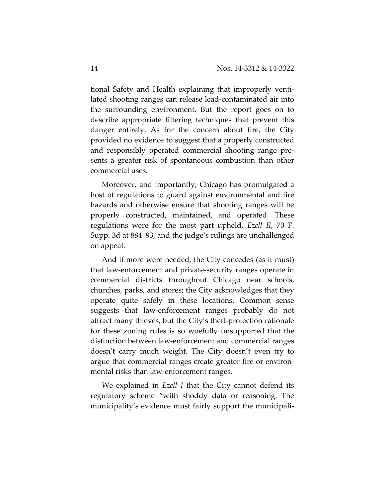tional Safety and Health explaining that improperly ventilated shooting ranges can release lead-contaminated air into the surrounding environment. But the report goes on to describe appropriate filtering techniques that prevent this danger entirely. As for the concern about fire, the City provided no evidence to suggest that a properly constructed and responsibly operated commercial shooting range presents a greater risk of spontaneous combustion than other commercial uses.

Moreover, and importantly, Chicago has promulgated a host of regulations to guard against environmental and fire hazards and otherwise ensure that shooting ranges will be properly constructed, maintained, and operated. These regulations were for the most part upheld, *Ezell II*, 70 F. Supp. 3d at 884–93, and the judge's rulings are unchallenged on appeal.

And if more were needed, the City concedes (as it must) that law-enforcement and private-security ranges operate in commercial districts throughout Chicago near schools, churches, parks, and stores; the City acknowledges that they operate quite safely in these locations. Common sense suggests that law-enforcement ranges probably do not attract many thieves, but the City's theft-protection rationale for these zoning rules is so woefully unsupported that the distinction between law-enforcement and commercial ranges doesn't carry much weight. The City doesn't even try to argue that commercial ranges create greater fire or environmental risks than law-enforcement ranges.

We explained in *Ezell I* that the City cannot defend its regulatory scheme "with shoddy data or reasoning. The municipality's evidence must fairly support the municipali-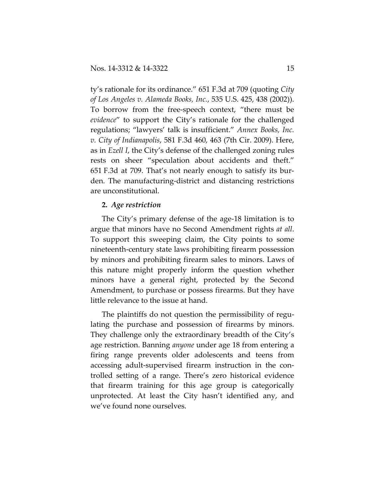ty's rationale for its ordinance." 651 F.3d at 709 (quoting *City of Los Angeles v. Alameda Books, Inc.*, 535 U.S. 425, 438 (2002)). To borrow from the free-speech context, "there must be *evidence*" to support the City's rationale for the challenged regulations; "lawyers' talk is insufficient." *Annex Books, Inc. v. City of Indianapolis*, 581 F.3d 460, 463 (7th Cir. 2009). Here, as in *Ezell I*, the City's defense of the challenged zoning rules rests on sheer "speculation about accidents and theft." 651 F.3d at 709. That's not nearly enough to satisfy its burden. The manufacturing-district and distancing restrictions are unconstitutional.

## **2.** *Age restriction*

The City's primary defense of the age-18 limitation is to argue that minors have no Second Amendment rights *at all*. To support this sweeping claim, the City points to some nineteenth-century state laws prohibiting firearm possession by minors and prohibiting firearm sales to minors. Laws of this nature might properly inform the question whether minors have a general right, protected by the Second Amendment, to purchase or possess firearms. But they have little relevance to the issue at hand.

The plaintiffs do not question the permissibility of regulating the purchase and possession of firearms by minors. They challenge only the extraordinary breadth of the City's age restriction. Banning *anyone* under age 18 from entering a firing range prevents older adolescents and teens from accessing adult-supervised firearm instruction in the controlled setting of a range. There's zero historical evidence that firearm training for this age group is categorically unprotected. At least the City hasn't identified any, and we've found none ourselves.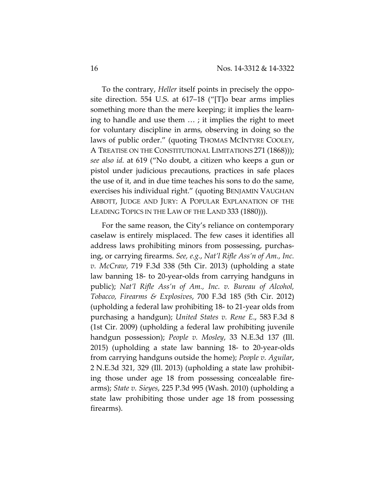To the contrary, *Heller* itself points in precisely the opposite direction. 554 U.S. at 617–18 ("[T]o bear arms implies something more than the mere keeping; it implies the learning to handle and use them … ; it implies the right to meet for voluntary discipline in arms, observing in doing so the laws of public order." (quoting THOMAS MCINTYRE COOLEY, A TREATISE ON THE CONSTITUTIONAL LIMITATIONS 271 (1868))); *see also id.* at 619 ("No doubt, a citizen who keeps a gun or pistol under judicious precautions, practices in safe places the use of it, and in due time teaches his sons to do the same, exercises his individual right." (quoting BENJAMIN VAUGHAN ABBOTT, JUDGE AND JURY: A POPULAR EXPLANATION OF THE LEADING TOPICS IN THE LAW OF THE LAND 333 (1880))).

For the same reason, the City's reliance on contemporary caselaw is entirely misplaced. The few cases it identifies all address laws prohibiting minors from possessing, purchasing, or carrying firearms. *See, e.g.*, *Nat'l Rifle Ass'n of Am., Inc. v. McCraw*, 719 F.3d 338 (5th Cir. 2013) (upholding a state law banning 18- to 20-year-olds from carrying handguns in public); *Nat'l Rifle Ass'n of Am., Inc. v. Bureau of Alcohol, Tobacco, Firearms & Explosives*, 700 F.3d 185 (5th Cir. 2012) (upholding a federal law prohibiting 18- to 21-year olds from purchasing a handgun); *United States v. Rene E*., 583 F.3d 8 (1st Cir. 2009) (upholding a federal law prohibiting juvenile handgun possession); *People v. Mosley*, 33 N.E.3d 137 (Ill. 2015) (upholding a state law banning 18- to 20-year-olds from carrying handguns outside the home); *People v. Aguilar*, 2 N.E.3d 321, 329 (Ill. 2013) (upholding a state law prohibiting those under age 18 from possessing concealable firearms); *State v. Sieyes*, 225 P.3d 995 (Wash. 2010) (upholding a state law prohibiting those under age 18 from possessing firearms).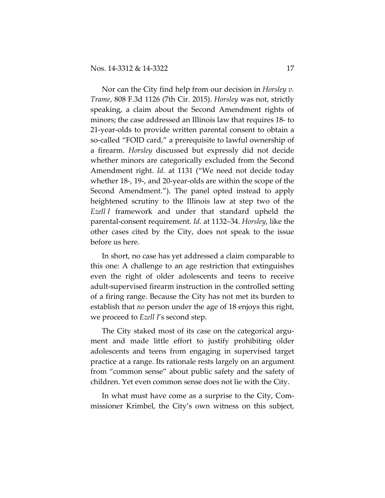Nor can the City find help from our decision in *Horsley v. Trame*, 808 F.3d 1126 (7th Cir. 2015). *Horsley* was not, strictly speaking, a claim about the Second Amendment rights of minors; the case addressed an Illinois law that requires 18- to 21-year-olds to provide written parental consent to obtain a so-called "FOID card," a prerequisite to lawful ownership of a firearm. *Horsley* discussed but expressly did not decide whether minors are categorically excluded from the Second Amendment right. *Id.* at 1131 ("We need not decide today whether 18-, 19-, and 20-year-olds are within the scope of the Second Amendment."). The panel opted instead to apply heightened scrutiny to the Illinois law at step two of the *Ezell I* framework and under that standard upheld the parental-consent requirement. *Id.* at 1132–34. *Horsley*, like the other cases cited by the City, does not speak to the issue before us here.

In short, no case has yet addressed a claim comparable to this one: A challenge to an age restriction that extinguishes even the right of older adolescents and teens to receive adult-supervised firearm instruction in the controlled setting of a firing range. Because the City has not met its burden to establish that *no* person under the age of 18 enjoys this right, we proceed to *Ezell I*'s second step.

The City staked most of its case on the categorical argument and made little effort to justify prohibiting older adolescents and teens from engaging in supervised target practice at a range. Its rationale rests largely on an argument from "common sense" about public safety and the safety of children. Yet even common sense does not lie with the City.

In what must have come as a surprise to the City, Commissioner Krimbel, the City's own witness on this subject,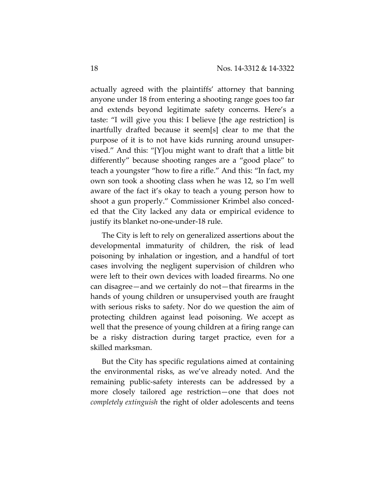actually agreed with the plaintiffs' attorney that banning anyone under 18 from entering a shooting range goes too far and extends beyond legitimate safety concerns. Here's a taste: "I will give you this: I believe [the age restriction] is inartfully drafted because it seem[s] clear to me that the purpose of it is to not have kids running around unsupervised." And this: "[Y]ou might want to draft that a little bit differently" because shooting ranges are a "good place" to teach a youngster "how to fire a rifle." And this: "In fact, my own son took a shooting class when he was 12, so I'm well aware of the fact it's okay to teach a young person how to shoot a gun properly." Commissioner Krimbel also conceded that the City lacked any data or empirical evidence to justify its blanket no-one-under-18 rule.

The City is left to rely on generalized assertions about the developmental immaturity of children, the risk of lead poisoning by inhalation or ingestion, and a handful of tort cases involving the negligent supervision of children who were left to their own devices with loaded firearms. No one can disagree—and we certainly do not—that firearms in the hands of young children or unsupervised youth are fraught with serious risks to safety. Nor do we question the aim of protecting children against lead poisoning. We accept as well that the presence of young children at a firing range can be a risky distraction during target practice, even for a skilled marksman.

But the City has specific regulations aimed at containing the environmental risks, as we've already noted. And the remaining public-safety interests can be addressed by a more closely tailored age restriction—one that does not *completely extinguish* the right of older adolescents and teens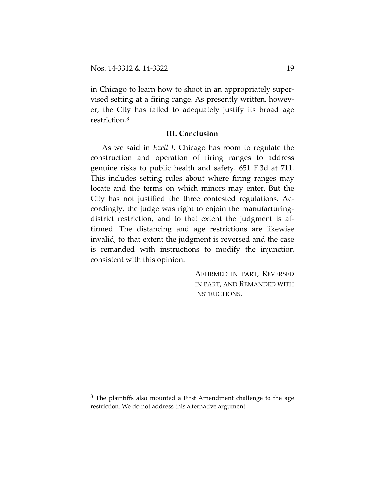in Chicago to learn how to shoot in an appropriately supervised setting at a firing range. As presently written, however, the City has failed to adequately justify its broad age restriction.[3](#page-18-0)

### **III. Conclusion**

As we said in *Ezell I*, Chicago has room to regulate the construction and operation of firing ranges to address genuine risks to public health and safety. 651 F.3d at 711. This includes setting rules about where firing ranges may locate and the terms on which minors may enter. But the City has not justified the three contested regulations. Accordingly, the judge was right to enjoin the manufacturingdistrict restriction, and to that extent the judgment is affirmed. The distancing and age restrictions are likewise invalid; to that extent the judgment is reversed and the case is remanded with instructions to modify the injunction consistent with this opinion.

> AFFIRMED IN PART, REVERSED IN PART, AND REMANDED WITH INSTRUCTIONS.

<span id="page-18-0"></span> $3$  The plaintiffs also mounted a First Amendment challenge to the age restriction. We do not address this alternative argument.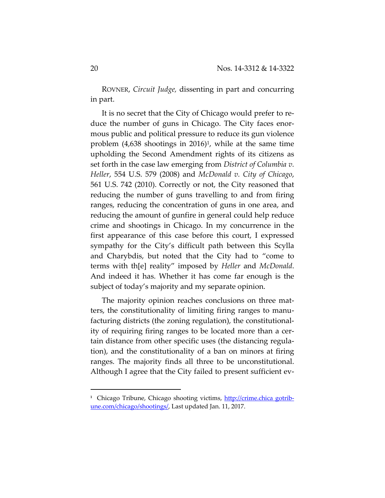ROVNER, *Circuit Judge,* dissenting in part and concurring in part.

It is no secret that the City of Chicago would prefer to re‐ duce the number of guns in Chicago. The City faces enor‐ mous public and political pressure to reduce its gun violence problem  $(4,638)$  shootings in 2016)<sup>1</sup>, while at the same time upholding the Second Amendment rights of its citizens as set forth in the case law emerging from *District of Columbia v. Heller*, 554 U.S. 579 (2008) and *McDonald v. City of Chicago*, 561 U.S. 742 (2010). Correctly or not, the City reasoned that reducing the number of guns travelling to and from firing ranges, reducing the concentration of guns in one area, and reducing the amount of gunfire in general could help reduce crime and shootings in Chicago. In my concurrence in the first appearance of this case before this court, I expressed sympathy for the City's difficult path between this Scylla and Charybdis, but noted that the City had to "come to terms with th[e] reality" imposed by *Heller* and *McDonald*. And indeed it has. Whether it has come far enough is the subject of today's majority and my separate opinion.

The majority opinion reaches conclusions on three matters, the constitutionality of limiting firing ranges to manu‐ facturing districts (the zoning regulation), the constitutional‐ ity of requiring firing ranges to be located more than a cer‐ tain distance from other specific uses (the distancing regula‐ tion), and the constitutionality of a ban on minors at firing ranges. The majority finds all three to be unconstitutional. Although I agree that the City failed to present sufficient ev‐

<sup>&</sup>lt;sup>1</sup> Chicago Tribune, Chicago shooting victims, http://crime.chica gotribune.com/chicago/shootings/, Last updated Jan. 11, 2017.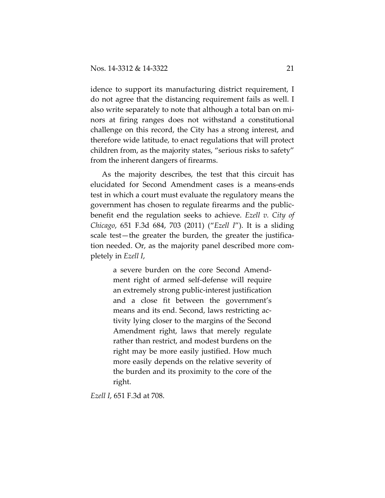idence to support its manufacturing district requirement, I do not agree that the distancing requirement fails as well. I also write separately to note that although a total ban on mi‐ nors at firing ranges does not withstand a constitutional challenge on this record, the City has a strong interest, and therefore wide latitude, to enact regulations that will protect children from, as the majority states, "serious risks to safety" from the inherent dangers of firearms.

As the majority describes, the test that this circuit has elucidated for Second Amendment cases is a means‐ends test in which a court must evaluate the regulatory means the government has chosen to regulate firearms and the public‐ benefit end the regulation seeks to achieve. *Ezell v. City of Chicago*, 651 F.3d 684, 703 (2011) ("*Ezell I*"). It is a sliding scale test—the greater the burden, the greater the justification needed. Or, as the majority panel described more com‐ pletely in *Ezell I*,

> a severe burden on the core Second Amend‐ ment right of armed self‐defense will require an extremely strong public‐interest justification and a close fit between the government's means and its end. Second, laws restricting ac‐ tivity lying closer to the margins of the Second Amendment right, laws that merely regulate rather than restrict, and modest burdens on the right may be more easily justified. How much more easily depends on the relative severity of the burden and its proximity to the core of the right.

*Ezell I*, 651 F.3d at 708.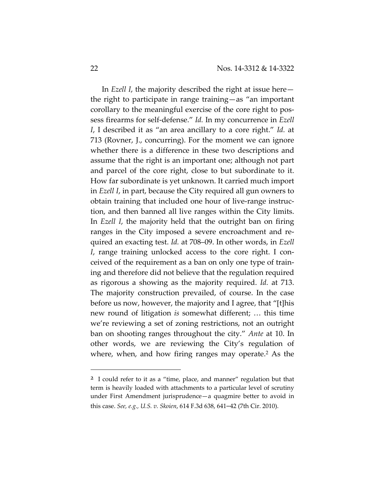In *Ezell I*, the majority described the right at issue here the right to participate in range training—as "an important corollary to the meaningful exercise of the core right to pos‐ sess firearms for self‐defense." *Id.* In my concurrence in *Ezell I*, I described it as "an area ancillary to a core right." *Id.* at 713 (Rovner, J., concurring). For the moment we can ignore whether there is a difference in these two descriptions and assume that the right is an important one; although not part and parcel of the core right, close to but subordinate to it. How far subordinate is yet unknown. It carried much import in *Ezell I*, in part, because the City required all gun owners to obtain training that included one hour of live‐range instruc‐ tion, and then banned all live ranges within the City limits. In *Ezell I*, the majority held that the outright ban on firing ranges in the City imposed a severe encroachment and re‐ quired an exacting test. *Id.* at 708–09. In other words, in *Ezell I*, range training unlocked access to the core right. I conceived of the requirement as a ban on only one type of train‐ ing and therefore did not believe that the regulation required as rigorous a showing as the majority required. *Id.* at 713. The majority construction prevailed, of course. In the case before us now, however, the majority and I agree, that "[t]his new round of litigation *is* somewhat different; … this time we're reviewing a set of zoning restrictions, not an outright ban on shooting ranges throughout the city." *Ante* at 10. In other words, we are reviewing the City's regulation of where, when, and how firing ranges may operate.<sup>2</sup> As the

<sup>2</sup> I could refer to it as a "time, place, and manner" regulation but that term is heavily loaded with attachments to a particular level of scrutiny under First Amendment jurisprudence—a quagmire better to avoid in this case. *See, e.g., U.S. v. Skoien*, 614 F.3d 638, 641–42 (7th Cir. 2010).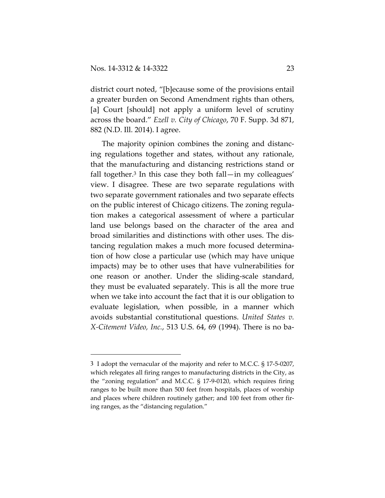district court noted, "[b]ecause some of the provisions entail a greater burden on Second Amendment rights than others, [a] Court [should] not apply a uniform level of scrutiny across the board." *Ezell v. City of Chicago*, 70 F. Supp. 3d 871, 882 (N.D. Ill. 2014). I agree.

The majority opinion combines the zoning and distanc‐ ing regulations together and states, without any rationale, that the manufacturing and distancing restrictions stand or fall together.<sup>3</sup> In this case they both fall—in my colleagues' view. I disagree. These are two separate regulations with two separate government rationales and two separate effects on the public interest of Chicago citizens. The zoning regula‐ tion makes a categorical assessment of where a particular land use belongs based on the character of the area and broad similarities and distinctions with other uses. The dis‐ tancing regulation makes a much more focused determina‐ tion of how close a particular use (which may have unique impacts) may be to other uses that have vulnerabilities for one reason or another. Under the sliding‐scale standard, they must be evaluated separately. This is all the more true when we take into account the fact that it is our obligation to evaluate legislation, when possible, in a manner which avoids substantial constitutional questions. *United States v. X‐Citement Video, Inc.*, 513 U.S. 64, 69 (1994). There is no ba‐

<sup>3</sup> I adopt the vernacular of the majority and refer to M.C.C. § 17‐5‐0207, which relegates all firing ranges to manufacturing districts in the City, as the "zoning regulation" and M.C.C. § 17‐9‐0120, which requires firing ranges to be built more than 500 feet from hospitals, places of worship and places where children routinely gather; and 100 feet from other firing ranges, as the "distancing regulation."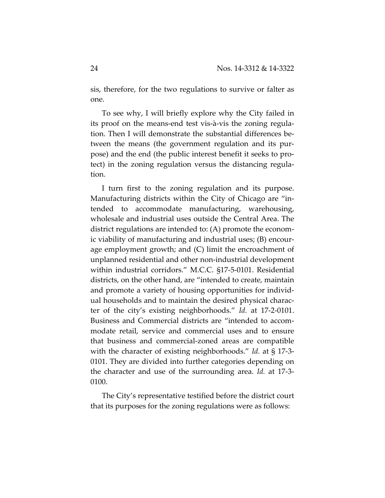sis, therefore, for the two regulations to survive or falter as one.

To see why, I will briefly explore why the City failed in its proof on the means‐end test vis‐à‐vis the zoning regula‐ tion. Then I will demonstrate the substantial differences be‐ tween the means (the government regulation and its pur‐ pose) and the end (the public interest benefit it seeks to pro‐ tect) in the zoning regulation versus the distancing regula‐ tion.

I turn first to the zoning regulation and its purpose. Manufacturing districts within the City of Chicago are "in‐ tended to accommodate manufacturing, warehousing, wholesale and industrial uses outside the Central Area. The district regulations are intended to: (A) promote the econom‐ ic viability of manufacturing and industrial uses; (B) encour‐ age employment growth; and (C) limit the encroachment of unplanned residential and other non‐industrial development within industrial corridors." M.C.C. §17‐5‐0101. Residential districts, on the other hand, are "intended to create, maintain and promote a variety of housing opportunities for individ‐ ual households and to maintain the desired physical charac‐ ter of the city's existing neighborhoods." *Id.* at 17‐2‐0101. Business and Commercial districts are "intended to accom‐ modate retail, service and commercial uses and to ensure that business and commercial‐zoned areas are compatible with the character of existing neighborhoods." *Id.* at § 17‐3‐ 0101. They are divided into further categories depending on the character and use of the surrounding area. *Id.* at 17‐3‐ 0100.

The City's representative testified before the district court that its purposes for the zoning regulations were as follows: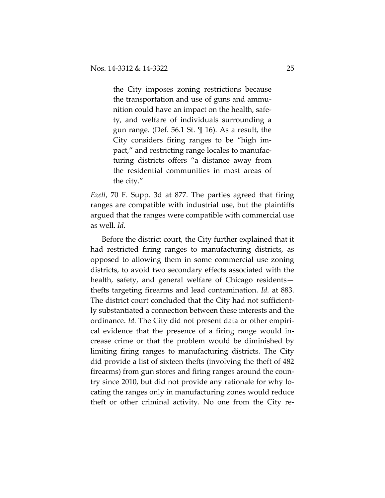the City imposes zoning restrictions because the transportation and use of guns and ammu‐ nition could have an impact on the health, safe‐ ty, and welfare of individuals surrounding a gun range. (Def. 56.1 St. ¶ 16). As a result, the City considers firing ranges to be "high im‐ pact," and restricting range locales to manufac‐ turing districts offers "a distance away from the residential communities in most areas of the city."

*Ezell*, 70 F. Supp. 3d at 877. The parties agreed that firing ranges are compatible with industrial use, but the plaintiffs argued that the ranges were compatible with commercial use as well. *Id.*

Before the district court, the City further explained that it had restricted firing ranges to manufacturing districts, as opposed to allowing them in some commercial use zoning districts, to avoid two secondary effects associated with the health, safety, and general welfare of Chicago residents thefts targeting firearms and lead contamination. *Id.* at 883. The district court concluded that the City had not sufficient‐ ly substantiated a connection between these interests and the ordinance. *Id.* The City did not present data or other empiri‐ cal evidence that the presence of a firing range would in‐ crease crime or that the problem would be diminished by limiting firing ranges to manufacturing districts. The City did provide a list of sixteen thefts (involving the theft of 482 firearms) from gun stores and firing ranges around the coun‐ try since 2010, but did not provide any rationale for why lo‐ cating the ranges only in manufacturing zones would reduce theft or other criminal activity. No one from the City re‐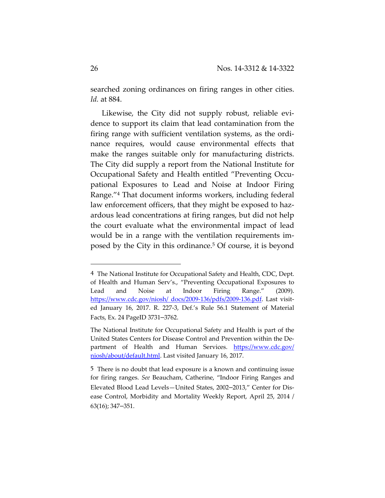searched zoning ordinances on firing ranges in other cities. *Id.* at 884.

Likewise, the City did not supply robust, reliable evidence to support its claim that lead contamination from the firing range with sufficient ventilation systems, as the ordi‐ nance requires, would cause environmental effects that make the ranges suitable only for manufacturing districts. The City did supply a report from the National Institute for Occupational Safety and Health entitled "Preventing Occu‐ pational Exposures to Lead and Noise at Indoor Firing Range."4 That document informs workers, including federal law enforcement officers, that they might be exposed to hazardous lead concentrations at firing ranges, but did not help the court evaluate what the environmental impact of lead would be in a range with the ventilation requirements im‐ posed by the City in this ordinance.5 Of course, it is beyond

<sup>4</sup> The National Institute for Occupational Safety and Health, CDC, Dept. of Health and Human Serv's., "Preventing Occupational Exposures to Lead and Noise at Indoor Firing Range." (2009). https://www.cdc.gov/niosh/ docs/2009-136/pdfs/2009-136.pdf. Last visited January 16, 2017. R. 227-3, Def.'s Rule 56.1 Statement of Material Facts, Ex. 24 PageID 3731–3762.

The National Institute for Occupational Safety and Health is part of the United States Centers for Disease Control and Prevention within the De‐ partment of Health and Human Services. https://www.cdc.gov/ niosh/about/default.html. Last visited January 16, 2017.

<sup>5</sup> There is no doubt that lead exposure is a known and continuing issue for firing ranges. *See* Beaucham, Catherine, "Indoor Firing Ranges and Elevated Blood Lead Levels—United States, 2002–2013," Center for Dis‐ ease Control, Morbidity and Mortality Weekly Report, April 25, 2014 / 63(16); 347–351.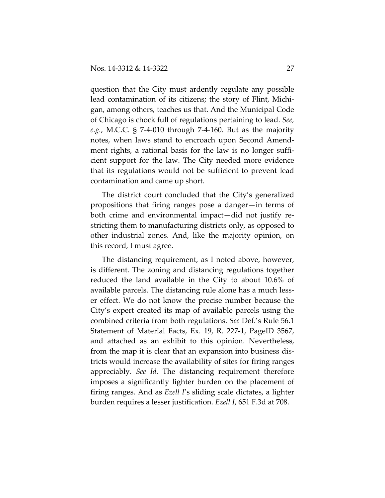question that the City must ardently regulate any possible lead contamination of its citizens; the story of Flint, Michi‐ gan, among others, teaches us that. And the Municipal Code of Chicago is chock full of regulations pertaining to lead. *See, e.g.*, M.C.C. § 7‐4‐010 through 7‐4‐160. But as the majority notes, when laws stand to encroach upon Second Amend‐ ment rights, a rational basis for the law is no longer sufficient support for the law. The City needed more evidence that its regulations would not be sufficient to prevent lead contamination and came up short.

The district court concluded that the City's generalized propositions that firing ranges pose a danger—in terms of both crime and environmental impact—did not justify re‐ stricting them to manufacturing districts only, as opposed to other industrial zones. And, like the majority opinion, on this record, I must agree.

The distancing requirement, as I noted above, however, is different. The zoning and distancing regulations together reduced the land available in the City to about 10.6% of available parcels. The distancing rule alone has a much less‐ er effect. We do not know the precise number because the City's expert created its map of available parcels using the combined criteria from both regulations. *See* Def.'s Rule 56.1 Statement of Material Facts, Ex. 19, R. 227‐1, PageID 3567, and attached as an exhibit to this opinion. Nevertheless, from the map it is clear that an expansion into business dis‐ tricts would increase the availability of sites for firing ranges appreciably. *See Id.* The distancing requirement therefore imposes a significantly lighter burden on the placement of firing ranges. And as *Ezell I*'s sliding scale dictates, a lighter burden requires a lesser justification. *Ezell I*, 651 F.3d at 708.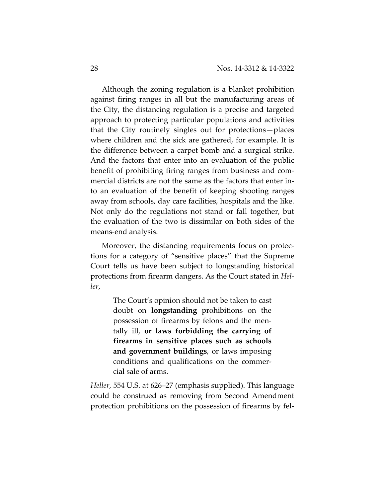Although the zoning regulation is a blanket prohibition against firing ranges in all but the manufacturing areas of the City, the distancing regulation is a precise and targeted approach to protecting particular populations and activities that the City routinely singles out for protections—places where children and the sick are gathered, for example. It is the difference between a carpet bomb and a surgical strike. And the factors that enter into an evaluation of the public benefit of prohibiting firing ranges from business and com‐ mercial districts are not the same as the factors that enter in‐ to an evaluation of the benefit of keeping shooting ranges away from schools, day care facilities, hospitals and the like. Not only do the regulations not stand or fall together, but the evaluation of the two is dissimilar on both sides of the means‐end analysis.

Moreover, the distancing requirements focus on protec‐ tions for a category of "sensitive places" that the Supreme Court tells us have been subject to longstanding historical protections from firearm dangers. As the Court stated in *Hel‐ ler*,

> The Court's opinion should not be taken to cast doubt on **longstanding** prohibitions on the possession of firearms by felons and the men‐ tally ill, **or laws forbidding the carrying of firearms in sensitive places such as schools and government buildings**, or laws imposing conditions and qualifications on the commer‐ cial sale of arms.

*Heller*, 554 U.S. at 626–27 (emphasis supplied). This language could be construed as removing from Second Amendment protection prohibitions on the possession of firearms by fel‐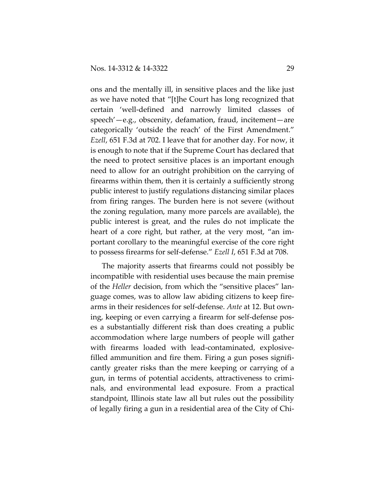ons and the mentally ill, in sensitive places and the like just as we have noted that "[t]he Court has long recognized that certain 'well‐defined and narrowly limited classes of speech'—e.g., obscenity, defamation, fraud, incitement—are categorically 'outside the reach' of the First Amendment." *Ezell*, 651 F.3d at 702. I leave that for another day. For now, it is enough to note that if the Supreme Court has declared that the need to protect sensitive places is an important enough need to allow for an outright prohibition on the carrying of firearms within them, then it is certainly a sufficiently strong public interest to justify regulations distancing similar places from firing ranges. The burden here is not severe (without the zoning regulation, many more parcels are available), the public interest is great, and the rules do not implicate the heart of a core right, but rather, at the very most, "an important corollary to the meaningful exercise of the core right to possess firearms for self‐defense." *Ezell I*, 651 F.3d at 708.

The majority asserts that firearms could not possibly be incompatible with residential uses because the main premise of the *Heller* decision, from which the "sensitive places" lan‐ guage comes, was to allow law abiding citizens to keep fire‐ arms in their residences for self‐defense. *Ante* at 12. But own‐ ing, keeping or even carrying a firearm for self‐defense pos‐ es a substantially different risk than does creating a public accommodation where large numbers of people will gather with firearms loaded with lead-contaminated, explosivefilled ammunition and fire them. Firing a gun poses signifi‐ cantly greater risks than the mere keeping or carrying of a gun, in terms of potential accidents, attractiveness to crimi‐ nals, and environmental lead exposure. From a practical standpoint, Illinois state law all but rules out the possibility of legally firing a gun in a residential area of the City of Chi‐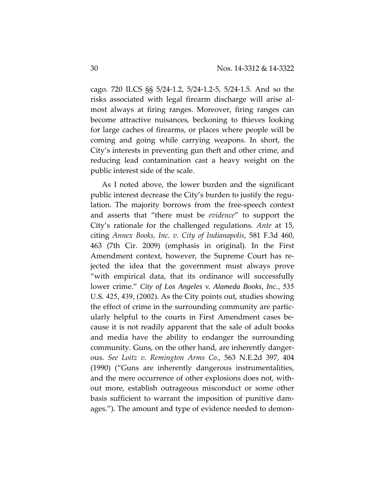cago. 720 ILCS §§ 5/24‐1.2, 5/24‐1.2‐5, 5/24‐1.5. And so the risks associated with legal firearm discharge will arise al‐ most always at firing ranges. Moreover, firing ranges can become attractive nuisances, beckoning to thieves looking for large caches of firearms, or places where people will be coming and going while carrying weapons. In short, the City's interests in preventing gun theft and other crime, and reducing lead contamination cast a heavy weight on the public interest side of the scale.

As I noted above, the lower burden and the significant public interest decrease the City's burden to justify the regulation. The majority borrows from the free‐speech context and asserts that "there must be *evidence*" to support the City's rationale for the challenged regulations. *Ante* at 15, citing *Annex Books, Inc. v. City of Indianapolis*, 581 F.3d 460, 463 (7th Cir. 2009) (emphasis in original). In the First Amendment context, however, the Supreme Court has re‐ jected the idea that the government must always prove "with empirical data, that its ordinance will successfully lower crime." *City of Los Angeles v. Alameda Books, Inc.*, 535 U.S. 425, 439, (2002). As the City points out, studies showing the effect of crime in the surrounding community are partic‐ ularly helpful to the courts in First Amendment cases be‐ cause it is not readily apparent that the sale of adult books and media have the ability to endanger the surrounding community. Guns, on the other hand, are inherently danger‐ ous. *See Loitz v. Remington Arms Co.*, 563 N.E.2d 397, 404 (1990) ("Guns are inherently dangerous instrumentalities, and the mere occurrence of other explosions does not, with‐ out more, establish outrageous misconduct or some other basis sufficient to warrant the imposition of punitive dam‐ ages."). The amount and type of evidence needed to demon‐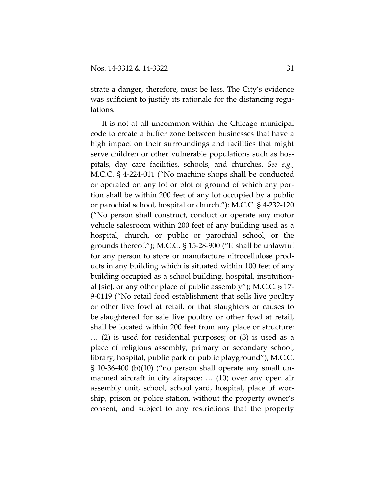strate a danger, therefore, must be less. The City's evidence was sufficient to justify its rationale for the distancing regulations.

It is not at all uncommon within the Chicago municipal code to create a buffer zone between businesses that have a high impact on their surroundings and facilities that might serve children or other vulnerable populations such as hospitals, day care facilities, schools, and churches. *See e.g.*, M.C.C. § 4‐224‐011 ("No machine shops shall be conducted or operated on any lot or plot of ground of which any por‐ tion shall be within 200 feet of any lot occupied by a public or parochial school, hospital or church."); M.C.C. § 4‐232‐120 ("No person shall construct, conduct or operate any motor vehicle salesroom within 200 feet of any building used as a hospital, church, or public or parochial school, or the grounds thereof."); M.C.C. § 15‐28‐900 ("It shall be unlawful for any person to store or manufacture nitrocellulose prod‐ ucts in any building which is situated within 100 feet of any building occupied as a school building, hospital, institution‐ al [sic], or any other place of public assembly"); M.C.C. § 17‐ 9‐0119 ("No retail food establishment that sells live poultry or other live fowl at retail, or that slaughters or causes to be slaughtered for sale live poultry or other fowl at retail, shall be located within 200 feet from any place or structure: … (2) is used for residential purposes; or (3) is used as a place of religious assembly, primary or secondary school, library, hospital, public park or public playground"); M.C.C. § 10‐36‐400 (b)(10) ("no person shall operate any small un‐ manned aircraft in city airspace: … (10) over any open air assembly unit, school, school yard, hospital, place of wor‐ ship, prison or police station, without the property owner's consent, and subject to any restrictions that the property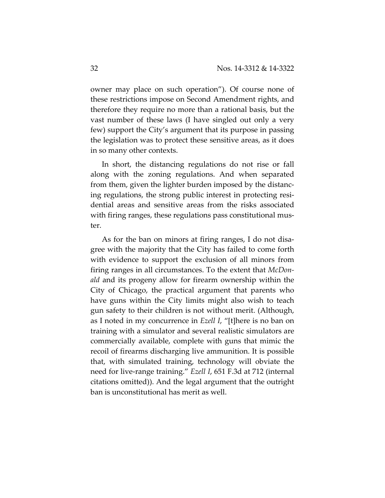owner may place on such operation"). Of course none of these restrictions impose on Second Amendment rights, and therefore they require no more than a rational basis, but the vast number of these laws (I have singled out only a very few) support the City's argument that its purpose in passing the legislation was to protect these sensitive areas, as it does in so many other contexts.

In short, the distancing regulations do not rise or fall along with the zoning regulations. And when separated from them, given the lighter burden imposed by the distanc‐ ing regulations, the strong public interest in protecting resi‐ dential areas and sensitive areas from the risks associated with firing ranges, these regulations pass constitutional mus‐ ter.

As for the ban on minors at firing ranges, I do not disa‐ gree with the majority that the City has failed to come forth with evidence to support the exclusion of all minors from firing ranges in all circumstances. To the extent that *McDon‐ ald* and its progeny allow for firearm ownership within the City of Chicago, the practical argument that parents who have guns within the City limits might also wish to teach gun safety to their children is not without merit. (Although, as I noted in my concurrence in *Ezell I*, "[t]here is no ban on training with a simulator and several realistic simulators are commercially available, complete with guns that mimic the recoil of firearms discharging live ammunition. It is possible that, with simulated training, technology will obviate the need for live‐range training." *Ezell I*, 651 F.3d at 712 (internal citations omitted)). And the legal argument that the outright ban is unconstitutional has merit as well.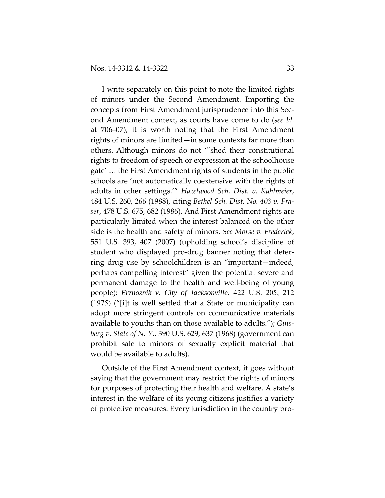I write separately on this point to note the limited rights of minors under the Second Amendment. Importing the concepts from First Amendment jurisprudence into this Sec‐ ond Amendment context, as courts have come to do (*see Id.* at 706–07), it is worth noting that the First Amendment rights of minors are limited—in some contexts far more than others. Although minors do not "'shed their constitutional rights to freedom of speech or expression at the schoolhouse gate' … the First Amendment rights of students in the public schools are 'not automatically coextensive with the rights of adults in other settings.'" *Hazelwood Sch. Dist. v. Kuhlmeier*, 484 U.S. 260, 266 (1988), citing *Bethel Sch. Dist. No. 403 v. Fra‐ ser*, 478 U.S. 675, 682 (1986). And First Amendment rights are particularly limited when the interest balanced on the other side is the health and safety of minors. *See Morse v. Frederick*, 551 U.S. 393, 407 (2007) (upholding school's discipline of student who displayed pro‐drug banner noting that deter‐ ring drug use by schoolchildren is an "important—indeed, perhaps compelling interest" given the potential severe and permanent damage to the health and well‐being of young people); *Erznoznik v. City of Jacksonville*, 422 U.S. 205, 212 (1975) ("[i]t is well settled that a State or municipality can adopt more stringent controls on communicative materials available to youths than on those available to adults."); *Gins‐ berg v. State of N. Y.*, 390 U.S. 629, 637 (1968) (government can prohibit sale to minors of sexually explicit material that would be available to adults).

Outside of the First Amendment context, it goes without saying that the government may restrict the rights of minors for purposes of protecting their health and welfare. A state's interest in the welfare of its young citizens justifies a variety of protective measures. Every jurisdiction in the country pro‐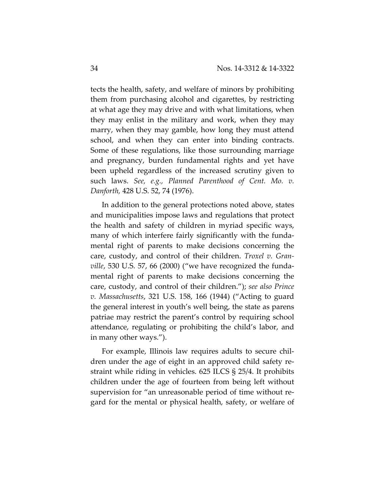tects the health, safety, and welfare of minors by prohibiting them from purchasing alcohol and cigarettes, by restricting at what age they may drive and with what limitations, when they may enlist in the military and work, when they may marry, when they may gamble, how long they must attend school, and when they can enter into binding contracts. Some of these regulations, like those surrounding marriage and pregnancy, burden fundamental rights and yet have been upheld regardless of the increased scrutiny given to such laws. *See, e.g., Planned Parenthood of Cent. Mo. v. Danforth,* 428 U.S. 52, 74 (1976).

In addition to the general protections noted above, states and municipalities impose laws and regulations that protect the health and safety of children in myriad specific ways, many of which interfere fairly significantly with the funda‐ mental right of parents to make decisions concerning the care, custody, and control of their children. *Troxel v. Gran‐ ville*, 530 U.S. 57, 66 (2000) ("we have recognized the funda‐ mental right of parents to make decisions concerning the care, custody, and control of their children."); *see also Prince v. Massachusetts*, 321 U.S. 158, 166 (1944) ("Acting to guard the general interest in youth's well being, the state as parens patriae may restrict the parent's control by requiring school attendance, regulating or prohibiting the child's labor, and in many other ways.").

For example, Illinois law requires adults to secure chil‐ dren under the age of eight in an approved child safety re‐ straint while riding in vehicles. 625 ILCS § 25/4. It prohibits children under the age of fourteen from being left without supervision for "an unreasonable period of time without regard for the mental or physical health, safety, or welfare of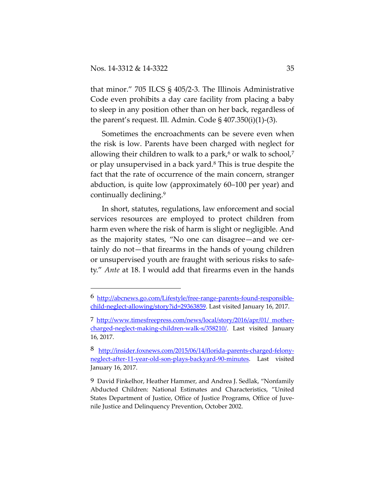that minor." 705 ILCS § 405/2‐3. The Illinois Administrative Code even prohibits a day care facility from placing a baby to sleep in any position other than on her back, regardless of the parent's request. Ill. Admin. Code  $\S 407.350(i)(1)-(3)$ .

Sometimes the encroachments can be severe even when the risk is low. Parents have been charged with neglect for allowing their children to walk to a park, $6$  or walk to school, $7$ or play unsupervised in a back yard.8 This is true despite the fact that the rate of occurrence of the main concern, stranger abduction, is quite low (approximately 60–100 per year) and continually declining.9

In short, statutes, regulations, law enforcement and social services resources are employed to protect children from harm even where the risk of harm is slight or negligible. And as the majority states, "No one can disagree—and we cer‐ tainly do not—that firearms in the hands of young children or unsupervised youth are fraught with serious risks to safe‐ ty." *Ante* at 18. I would add that firearms even in the hands

<sup>6</sup> http://abcnews.go.com/Lifestyle/free‐range‐parents‐found‐responsible‐ child-neglect-allowing/story?id=29363859. Last visited January 16, 2017.

<sup>7</sup> http://www.timesfreepress.com/news/local/story/2016/apr/01/ mother‐ charged‐neglect‐making‐children‐walk‐s/358210/. Last visited January 16, 2017.

<sup>8</sup> http://insider.foxnews.com/2015/06/14/florida-parents-charged-felonyneglect‐after‐11‐year‐old‐son‐plays‐backyard‐90‐minutes. Last visited January 16, 2017.

<sup>9</sup> David Finkelhor, Heather Hammer, and Andrea J. Sedlak, "Nonfamily Abducted Children: National Estimates and Characteristics, "United States Department of Justice, Office of Justice Programs, Office of Juvenile Justice and Delinquency Prevention, October 2002.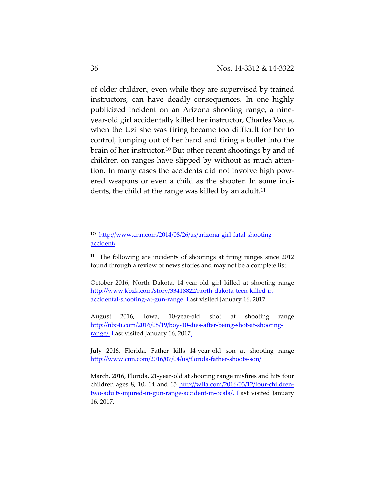of older children, even while they are supervised by trained instructors, can have deadly consequences. In one highly publicized incident on an Arizona shooting range, a nine‐ year‐old girl accidentally killed her instructor, Charles Vacca, when the Uzi she was firing became too difficult for her to control, jumping out of her hand and firing a bullet into the brain of her instructor.10 But other recent shootings by and of children on ranges have slipped by without as much atten‐ tion. In many cases the accidents did not involve high pow‐ ered weapons or even a child as the shooter. In some inci‐ dents, the child at the range was killed by an adult.<sup>11</sup>

<sup>10</sup> http://www.cnn.com/2014/08/26/us/arizona-girl-fatal-shootingaccident/

 $11$  The following are incidents of shootings at firing ranges since 2012 found through a review of news stories and may not be a complete list:

October 2016, North Dakota, 14‐year‐old girl killed at shooting range http://www.kbzk.com/story/33418822/north‐dakota‐teen‐killed‐in‐ accidental-shooting-at-gun-range. Last visited January 16, 2017.

August 2016, Iowa, 10‐year‐old shot at shooting range http://nbc4i.com/2016/08/19/boy‐10‐dies‐after‐being‐shot‐at‐shooting‐ range/. Last visited January 16, 2017.

July 2016, Florida, Father kills 14‐year‐old son at shooting range http://www.cnn.com/2016/07/04/us/florida-father-shoots-son/

March, 2016, Florida, 21‐year‐old at shooting range misfires and hits four children ages 8, 10, 14 and 15 http://wfla.com/2016/03/12/four-childrentwo-adults-injured-in-gun-range-accident-in-ocala/. Last visited January 16, 2017.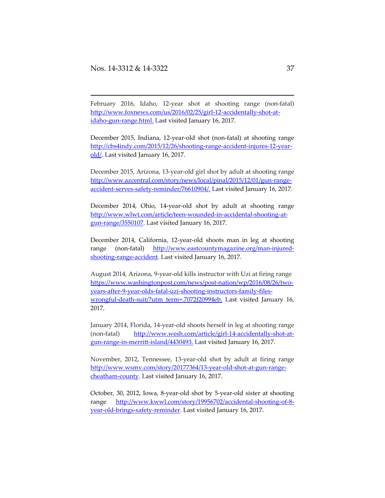February 2016, Idaho, 12-year shot at shooting range (non-fatal) http://www.foxnews.com/us/2016/02/25/girl‐12‐accidentally‐shot‐at‐ idaho-gun-range.html. Last visited January 16, 2017.

<u> 1989 - Johann Stoff, deutscher Stoff, der Stoff, der Stoff, der Stoff, der Stoff, der Stoff, der Stoff, der S</u>

December 2015, Indiana, 12‐year‐old shot (non‐fatal) at shooting range http://cbs4indy.com/2015/12/26/shooting‐range‐accident‐injures‐12‐year‐ old/. Last visited January 16, 2017.

December 2015, Arizona, 13‐year‐old girl shot by adult at shooting range http://www.azcentral.com/story/news/local/pinal/2015/12/01/gun-rangeaccident-serves-safety-reminder/76610904/. Last visited January 16, 2017.

December 2014, Ohio, 14‐year‐old shot by adult at shooting range http://www.wlwt.com/article/teen‐wounded‐in‐accidental‐shooting‐at‐ gun‐range/3550107. Last visited January 16, 2017.

December 2014, California, 12‐year‐old shoots man in leg at shooting range (non-fatal) http://www.eastcountymagazine.org/man-injuredshooting-range-accident. Last visited January 16, 2017.

August 2014, Arizona, 9‐year‐old kills instructor with Uzi at firing range https://www.washingtonpost.com/news/post-nation/wp/2016/08/26/twoyears‐after‐9‐year‐olds‐fatal‐uzi‐shooting‐instructors‐family‐files‐ wrongful-death-suit/?utm\_term=.7072f20994eb. Last visited January 16, 2017.

January 2014, Florida, 14‐year‐old shoots herself in leg at shooting range (non-fatal) http://www.wesh.com/article/girl-14-accidentally-shot-atgun-range-in-merritt-island/4430493. Last visited January 16, 2017.

November, 2012, Tennessee, 13‐year‐old shot by adult at firing range http://www.wsmv.com/story/20177364/13‐year‐old‐shot‐at‐gun‐range‐ cheatham‐county. Last visited January 16, 2017.

October, 30, 2012, Iowa, 8‐year‐old shot by 5‐year‐old sister at shooting range http://www.kwwl.com/story/19956702/accidental‐shooting‐of‐8‐ year‐old‐brings‐safety‐reminder. Last visited January 16, 2017.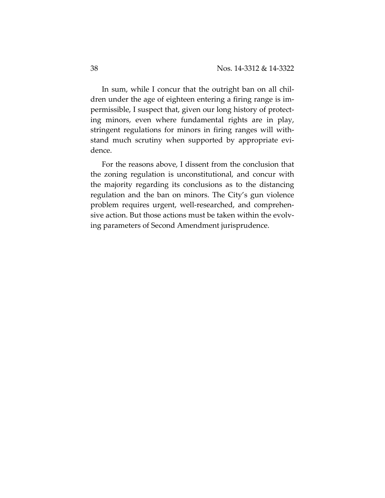In sum, while I concur that the outright ban on all chil‐ dren under the age of eighteen entering a firing range is im‐ permissible, I suspect that, given our long history of protect‐ ing minors, even where fundamental rights are in play, stringent regulations for minors in firing ranges will with‐ stand much scrutiny when supported by appropriate evi‐ dence.

For the reasons above, I dissent from the conclusion that the zoning regulation is unconstitutional, and concur with the majority regarding its conclusions as to the distancing regulation and the ban on minors. The City's gun violence problem requires urgent, well‐researched, and comprehen‐ sive action. But those actions must be taken within the evolving parameters of Second Amendment jurisprudence.